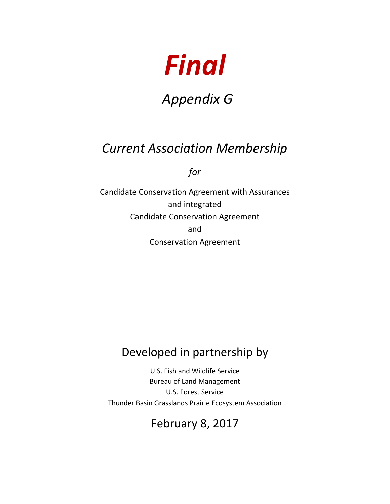

# *Appendix G*

## *Current Association Membership*

*for*

Candidate Conservation Agreement with Assurances and integrated Candidate Conservation Agreement and Conservation Agreement

#### Developed in partnership by

U.S. Fish and Wildlife Service Bureau of Land Management U.S. Forest Service Thunder Basin Grasslands Prairie Ecosystem Association

### February 8, 2017